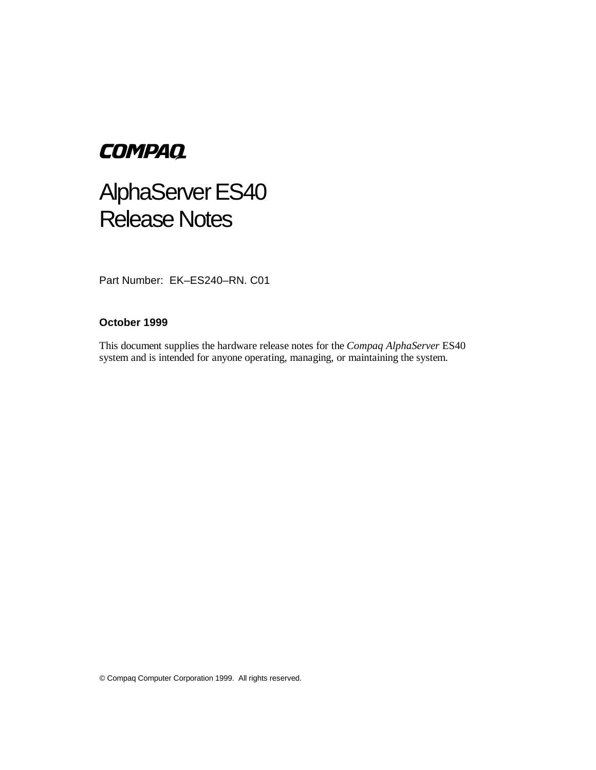## **COMPAQ**

# AlphaServer ES40 Release Notes

Part Number: EK–ES240–RN. C01

#### **October 1999**

This document supplies the hardware release notes for the *Compaq AlphaServer* ES40 system and is intended for anyone operating, managing, or maintaining the system.

© Compaq Computer Corporation 1999. All rights reserved.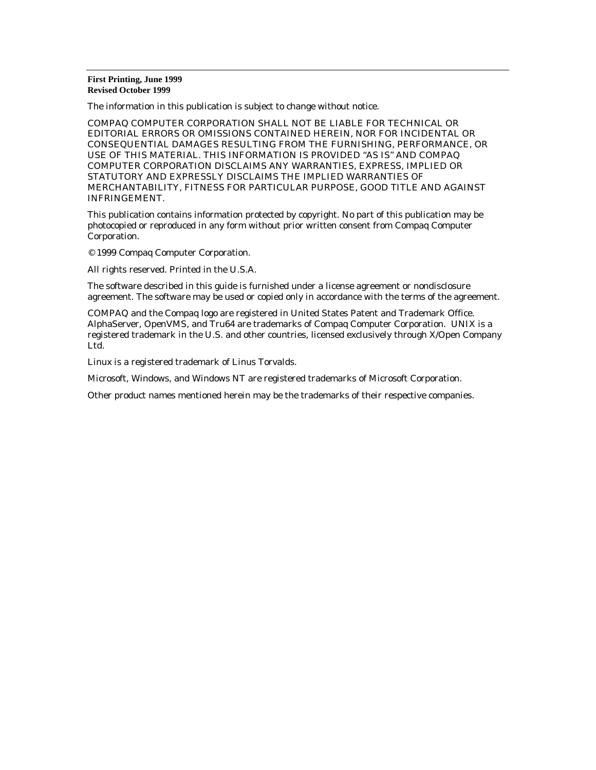**First Printing, June 1999 Revised October 1999**

The information in this publication is subject to change without notice.

COMPAQ COMPUTER CORPORATION SHALL NOT BE LIABLE FOR TECHNICAL OR EDITORIAL ERRORS OR OMISSIONS CONTAINED HEREIN, NOR FOR INCIDENTAL OR CONSEQUENTIAL DAMAGES RESULTING FROM THE FURNISHING, PERFORMANCE, OR USE OF THIS MATERIAL. THIS INFORMATION IS PROVIDED "AS IS" AND COMPAQ COMPUTER CORPORATION DISCLAIMS ANY WARRANTIES, EXPRESS, IMPLIED OR STATUTORY AND EXPRESSLY DISCLAIMS THE IMPLIED WARRANTIES OF MERCHANTABILITY, FITNESS FOR PARTICULAR PURPOSE, GOOD TITLE AND AGAINST INFRINGEMENT.

This publication contains information protected by copyright. No part of this publication may be photocopied or reproduced in any form without prior written consent from Compaq Computer Corporation.

© 1999 Compaq Computer Corporation.

All rights reserved. Printed in the U.S.A.

The software described in this guide is furnished under a license agreement or nondisclosure agreement. The software may be used or copied only in accordance with the terms of the agreement.

COMPAQ and the Compaq logo are registered in United States Patent and Trademark Office. AlphaServer, OpenVMS, and Tru64 are trademarks of Compaq Computer Corporation. UNIX is a registered trademark in the U.S. and other countries, licensed exclusively through X/Open Company Ltd.

Linux is a registered trademark of Linus Torvalds.

Microsoft, Windows, and Windows NT are registered trademarks of Microsoft Corporation.

Other product names mentioned herein may be the trademarks of their respective companies.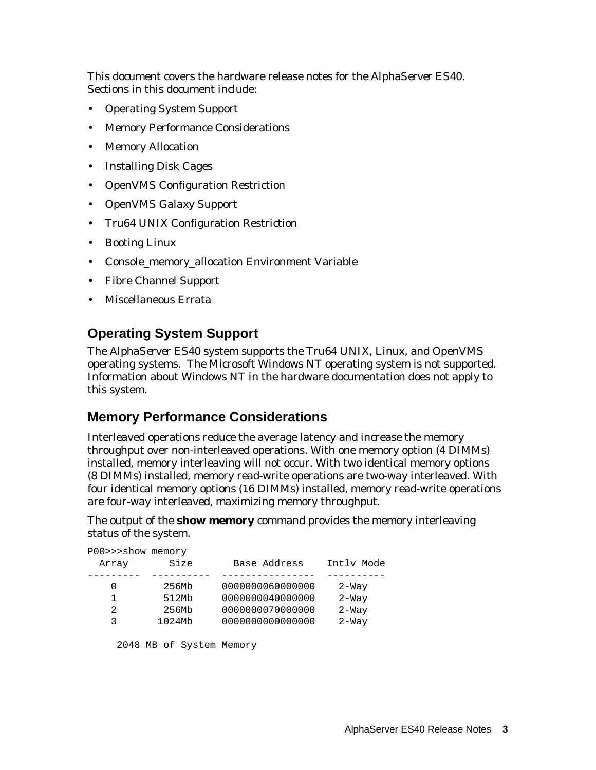This document covers the hardware release notes for the *AlphaServer* ES40. Sections in this document include:

- Operating System Support
- Memory Performance Considerations
- Memory Allocation
- Installing Disk Cages
- OpenVMS Configuration Restriction
- OpenVMS Galaxy Support
- Tru64 UNIX Configuration Restriction
- Booting Linux
- Console\_memory\_allocation Environment Variable
- Fibre Channel Support
- Miscellaneous Errata

### **Operating System Support**

The *AlphaServer* ES40 system supports the Tru64 UNIX, Linux, and OpenVMS operating systems. The Microsoft Windows NT operating system is not supported. Information about Windows NT in the hardware documentation does not apply to this system.

#### **Memory Performance Considerations**

Interleaved operations reduce the average latency and increase the memory throughput over non-interleaved operations. With one memory option (4 DIMMs) installed, memory interleaving will not occur. With two identical memory options (8 DIMMs) installed, memory read-write operations are two-way interleaved. With four identical memory options (16 DIMMs) installed, memory read-write operations are four-way interleaved, maximizing memory throughput.

The output of the **show memory** command provides the memory interleaving status of the system.

| P00>>>show memory |        |                  |            |
|-------------------|--------|------------------|------------|
| Array             | Size   | Base Address     | Intly Mode |
|                   |        |                  |            |
| 0                 | 256Mb  | 0000000060000000 | $2-Way$    |
| 1                 | 512Mb  | 0000000040000000 | $2-Way$    |
| $\mathfrak{D}$    | 256Mb  | 0000000070000000 | $2-Way$    |
| ς                 | 1024Mb | 0000000000000000 | $2-Way$    |
|                   |        |                  |            |

2048 MB of System Memory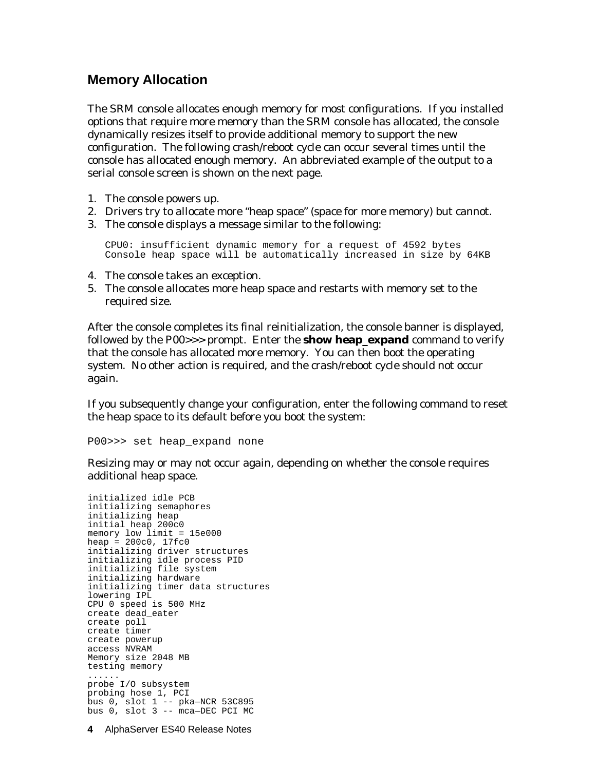#### **Memory Allocation**

The SRM console allocates enough memory for most configurations. If you installed options that require more memory than the SRM console has allocated, the console dynamically resizes itself to provide additional memory to support the new configuration. The following crash/reboot cycle can occur several times until the console has allocated enough memory. An abbreviated example of the output to a serial console screen is shown on the next page.

- 1. The console powers up.
- 2. Drivers try to allocate more "heap space" (space for more memory) but cannot.
- 3. The console displays a message similar to the following:

CPU0: insufficient dynamic memory for a request of 4592 bytes Console heap space will be automatically increased in size by 64KB

- 4. The console takes an exception.
- 5. The console allocates more heap space and restarts with memory set to the required size.

After the console completes its final reinitialization, the console banner is displayed, followed by the P00>>> prompt. Enter the **show heap\_expand** command to verify that the console has allocated more memory. You can then boot the operating system. No other action is required, and the crash/reboot cycle should not occur again.

If you subsequently change your configuration, enter the following command to reset the heap space to its default before you boot the system:

P00>>> set heap\_expand none

Resizing may or may not occur again, depending on whether the console requires additional heap space.

```
initialized idle PCB
initializing semaphores
initializing heap
initial heap 200c0
memory low limit = 15e000
heap = 200c0, 17fc0initializing driver structures
initializing idle process PID
initializing file system
initializing hardware
initializing timer data structures
lowering IPL
CPU 0 speed is 500 MHz
create dead_eater
create poll
create timer
create powerup
access NVRAM
Memory size 2048 MB
testing memory
......
probe I/O subsystem
probing hose 1, PCI
bus 0, slot 1 -- pka-NCR 53C895
bus 0, slot 3 -- mca-DEC PCI MC
```
#### **4** AlphaServer ES40 Release Notes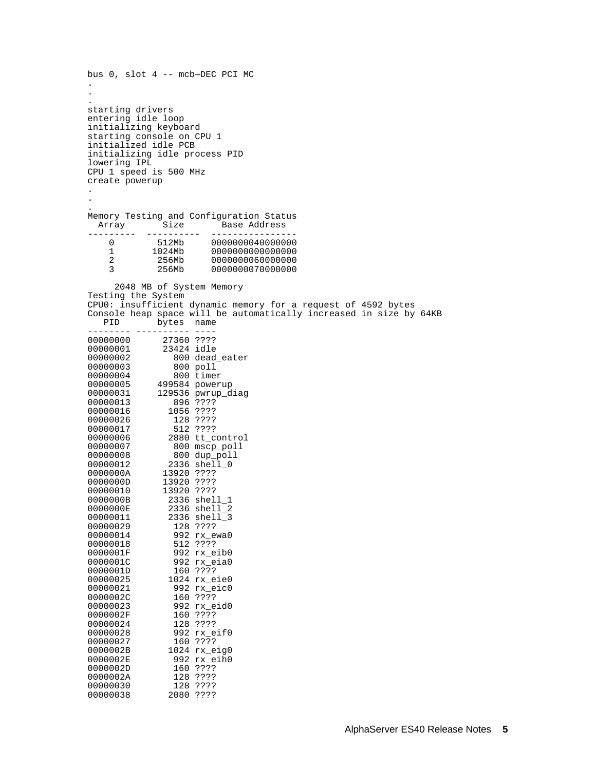bus 0, slot 4 -- mcb—DEC PCI MC . . . starting drivers entering idle loop initializing keyboard starting console on CPU 1 initialized idle PCB initializing idle process PID lowering IPL CPU 1 speed is 500 MHz create powerup . . . Memory Testing and Configuration Status Array Size Base Address<br>--------- --------- ----------------------- ---------- ---------------0 512Mb 0000000040000000 1 1024Mb 0000000000000000 2 256Mb 0000000060000000 3 256Mb 0000000070000000 2048 MB of System Memory Testing the System CPU0: insufficient dynamic memory for a request of 4592 bytes Console heap space will be automatically increased in size by 64KB PID bytes name -------- ---------- ---- 00000000 27360 ????<br>00000001 23424 idle 00000001 23424 idle<br>00000002 800 dead 00000002 800 dead\_eater<br>00000003 800 poll 00000003 800 poll<br>00000004 800 time 00000004 800 timer<br>00000005 499584 power 00000005 499584 powerup 00000031 129536 pwrup\_diag 00000013 896 ????<br>00000016 1056 ???? 1056 ???? 00000026 128 ????<br>00000017 512 ???? 00000017 512 ????<br>00000006 2880 tt c 00000006 2880 tt\_control<br>00000007 800 mscp poll 00000007 800 mscp\_poll<br>00000008 800 dup\_poll 00000008 800 dup\_poll<br>00000012 2336 shell\_0 00000012 2336 shell\_0<br>0000000A 13920 ???? 0000000A 13920 ????<br>0000000D 13920 ???? 0000000D 13920 ????<br>00000010 13920 ???? 00000010 13920 ????<br>0000000B 2336 shel 0000000B 2336 shell\_1<br>0000000E 2336 shell 2 0000000E 2336 shell\_2 00000011 2336 shell\_3 00000029 128 ????<br>00000014 992 rx\_e 992 rx\_ewa0<br>512 ????  $00000018$ 0000001F 992 rx\_eib0<br>0000001C 992 rx eia0 0000001C 992 rx\_eia0<br>0000001D 160 ???? 0000001D 160 ????<br>00000025 1024 rx e 00000025 1024 rx\_eie0<br>00000021 992 rx eic0 00000021 992 rx\_eic0<br>0000002C 160 ???? 0000002C 160 ????<br>00000023 992 rx e 00000023 992 rx\_eid0<br>0000002F 160 ???? 0000002F 160 ????<br>00000024 128 ???? 00000024 128 ????<br>00000028 992 rx e 992 rx\_eif0<br>160 ???? 00000027<br>0000002B 0000002B 1024 rx\_eig0<br>0000002E 992 rx\_eih0 0000002E 992 rx\_eih0<br>0000002D 160 ???? 0000002D 160 ???? 0000002A 128 ???? 00000030 128 ???? 00000038 2080 ????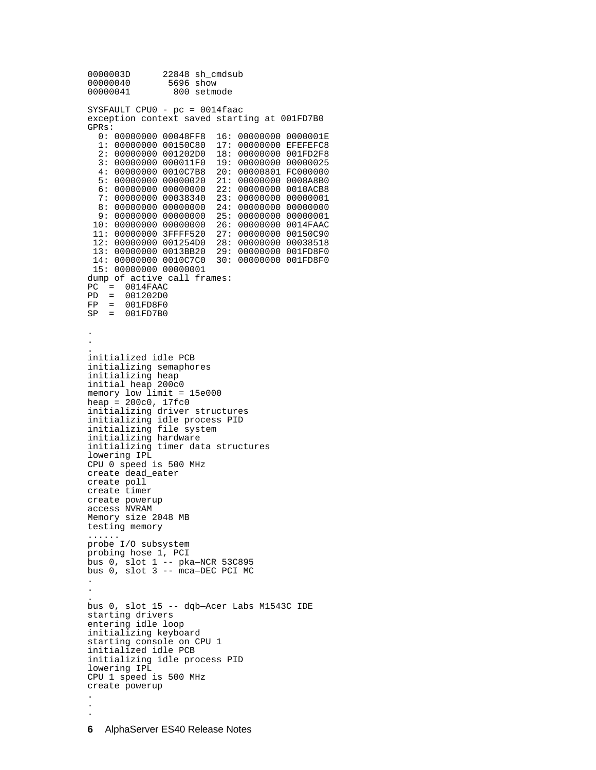```
0000003D 22848 sh_cmdsub<br>00000040 5696 show
00000040 5696 show<br>00000041 800 setm
                800 setmode
SYSFAULT CPU0 - pc = 0014faac
exception context saved starting at 001FD7B0
GPRs:
   0: 00000000 00048FF8 16: 00000000 0000001E
 1: 00000000 00150C80 17: 00000000 EFEFEFC8
 2: 00000000 001202D0 18: 00000000 001FD2F8
 3: 00000000 000011F0 19: 00000000 00000025
   4: 00000000 0010C7B8 20: 00000801 FC000000
 5: 00000000 00000020 21: 00000000 0008A8B0
 6: 00000000 00000000 22: 00000000 0010ACB8
 7: 00000000 00038340 23: 00000000 00000001
 8: 00000000 00000000 24: 00000000 00000000
 9: 00000000 00000000 25: 00000000 00000001
 10: 00000000 00000000 26: 00000000 0014FAAC
  11: 00000000 3FFFF520 27: 00000000 00150C90
 12: 00000000 001254D0 28: 00000000 00038518
 13: 00000000 0013BB20 29: 00000000 001FD8F0
 14: 00000000 0010C7C0 30: 00000000 001FD8F0
  15: 00000000 00000001
dump of active call frames:
PC = 0014FAACPD = 001202D0
FP = 001FD8F0
SP = 001FD7B0
.
.
.
initialized idle PCB
initializing semaphores
initializing heap
initial heap 200c0
memory low limit = 15e000
heap = 200c0, 17fc0initializing driver structures
initializing idle process PID
initializing file system
initializing hardware
initializing timer data structures
lowering IPL
CPU 0 speed is 500 MHz
create dead_eater
create poll
create timer
create powerup
access NVRAM
Memory size 2048 MB
testing memory
......
probe I/O subsystem
probing hose 1, PCI
bus 0, slot 1 -- pka—NCR 53C895
bus 0, slot 3 -- mca—DEC PCI MC
.
.
.
bus 0, slot 15 -- dqb—Acer Labs M1543C IDE
starting drivers
entering idle loop
initializing keyboard
starting console on CPU 1
initialized idle PCB
initializing idle process PID
lowering IPL
CPU 1 speed is 500 MHz
create powerup
.
.
.
```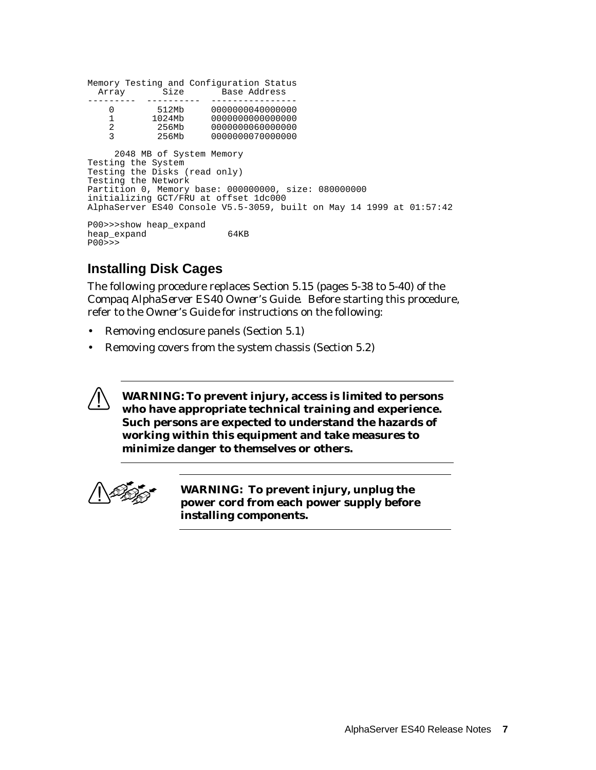|                        |                                                                            | Memory Testing and Configuration Status<br>Array Size Base Address                                                                                                                                |  |  |
|------------------------|----------------------------------------------------------------------------|---------------------------------------------------------------------------------------------------------------------------------------------------------------------------------------------------|--|--|
| 0<br>$\mathbf{1}$<br>3 |                                                                            | 2 256Mb 0000000060000000<br>256Mb 0000000070000000                                                                                                                                                |  |  |
|                        | Testing the System<br>Testing the Disks (read only)<br>Testing the Network | 2048 MB of System Memory<br>Partition 0, Memory base: 000000000, size: 080000000<br>initializing GCT/FRU at offset 1dc000<br>AlphaServer ES40 Console V5.5-3059, built on May 14 1999 at 01:57:42 |  |  |
| heap expand<br>POO>>   | P00>>>show heap expand                                                     | 64KB                                                                                                                                                                                              |  |  |

#### **Installing Disk Cages**

The following procedure replaces Section 5.15 (pages 5-38 to 5-40) of the *Compaq AlphaServer ES40 Owner's Guide*. Before starting this procedure, refer to the *Owner's Guide* for instructions on the following:

- Removing enclosure panels (Section 5.1)
- Removing covers from the system chassis (Section 5.2)

**WARNING: To prevent injury, access is limited to persons who have appropriate technical training and experience. Such persons are expected to understand the hazards of working within this equipment and take measures to minimize danger to themselves or others.**



**WARNING: To prevent injury, unplug the power cord from each power supply before installing components.**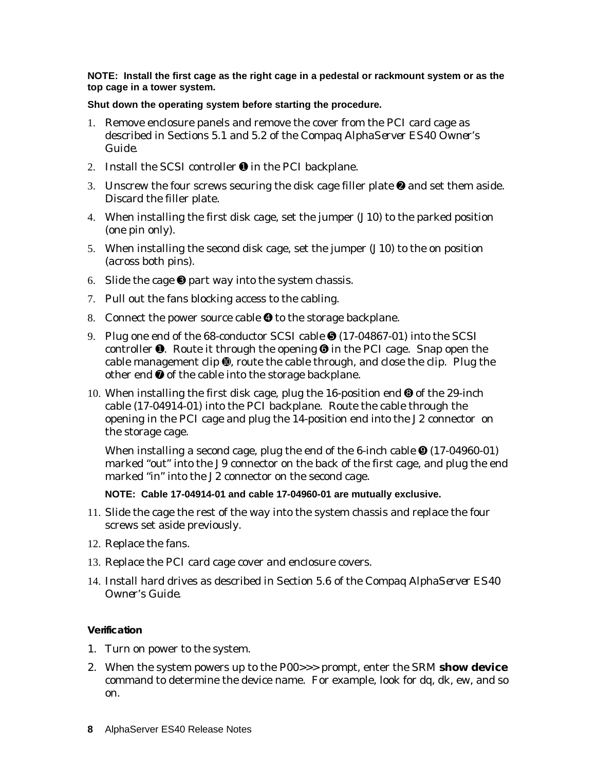**NOTE: Install the first cage as the right cage in a pedestal or rackmount system or as the top cage in a tower system.**

**Shut down the operating system before starting the procedure.**

- 1. Remove enclosure panels and remove the cover from the PCI card cage as described in Sections 5.1 and 5.2 of the *Compaq AlphaServer ES40 Owner's Guide*.
- 2. Install the SCSI controller  $\bullet$  in the PCI backplane.
- 3. Unscrew the four screws securing the disk cage filler plate ➋ and set them aside. Discard the filler plate.
- 4. When installing the first disk cage, set the jumper (J10) to the parked position (one pin only).
- 5. When installing the second disk cage, set the jumper (J10) to the on position (across both pins).
- 6. Slide the cage ➌ part way into the system chassis.
- 7. Pull out the fans blocking access to the cabling.
- 8. Connect the power source cable  $\bullet$  to the storage backplane.
- 9. Plug one end of the 68-conductor SCSI cable  $\Theta$  (17-04867-01) into the SCSI controller  $\bullet$ . Route it through the opening  $\bullet$  in the PCI cage. Snap open the cable management clip ➓, route the cable through, and close the clip. Plug the other end  $\odot$  of the cable into the storage backplane.
- 10. When installing the first disk cage, plug the 16-position end <sup>o</sup> of the 29-inch cable (17-04914-01) into the PCI backplane. Route the cable through the opening in the PCI cage and plug the 14-position end into the J2 connector on the storage cage.

When installing a second cage, plug the end of the 6-inch cable  $\Theta$  (17-04960-01) marked "out" into the J9 connector on the back of the first cage, and plug the end marked "in" into the J2 connector on the second cage.

**NOTE: Cable 17-04914-01 and cable 17-04960-01 are mutually exclusive.**

- 11. Slide the cage the rest of the way into the system chassis and replace the four screws set aside previously.
- 12. Replace the fans.
- 13. Replace the PCI card cage cover and enclosure covers.
- 14. Install hard drives as described in Section 5.6 of the *Compaq AlphaServer ES40 Owner's Guide*.

#### **Verification**

- 1. Turn on power to the system.
- 2. When the system powers up to the P00>>> prompt, enter the SRM **show device** command to determine the device name. For example, look for dq, dk, ew, and so on.
- **8** AlphaServer ES40 Release Notes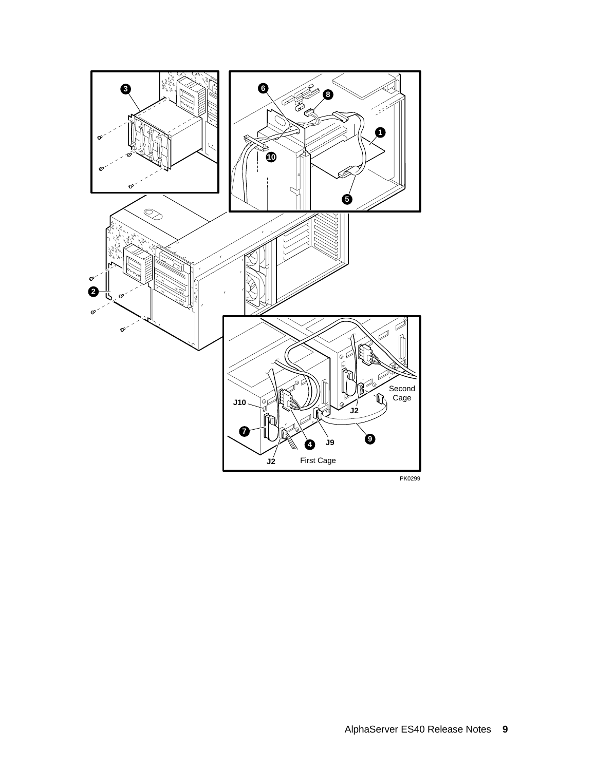

PK0299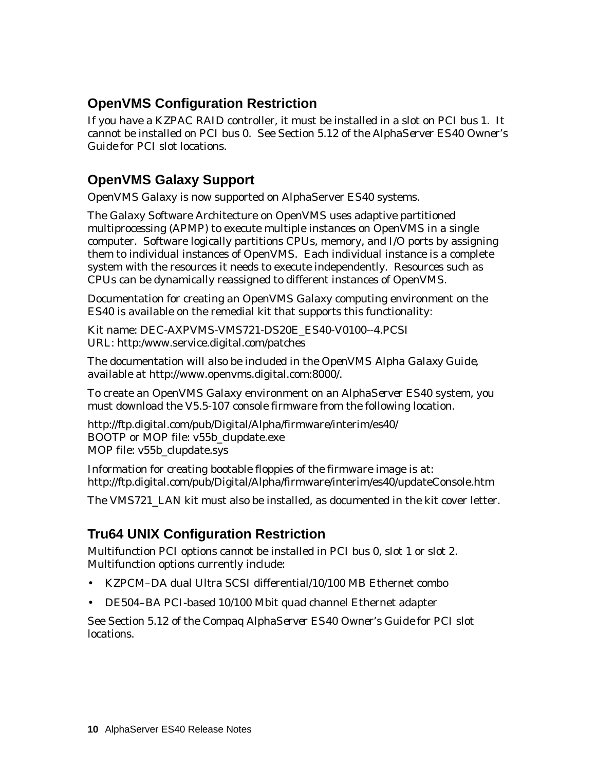### **OpenVMS Configuration Restriction**

If you have a KZPAC RAID controller, it must be installed in a slot on PCI bus 1. It cannot be installed on PCI bus 0. See Section 5.12 of the *AlphaServer ES40 Owner's Guide* for PCI slot locations.

#### **OpenVMS Galaxy Support**

OpenVMS Galaxy is now supported on AlphaServer ES40 systems.

The Galaxy Software Architecture on OpenVMS uses adaptive partitioned multiprocessing (APMP) to execute multiple instances on OpenVMS in a single computer. Software logically partitions CPUs, memory, and I/O ports by assigning them to individual instances of OpenVMS. Each individual instance is a complete system with the resources it needs to execute independently. Resources such as CPUs can be dynamically reassigned to different instances of OpenVMS.

Documentation for creating an OpenVMS Galaxy computing environment on the ES40 is available on the remedial kit that supports this functionality:

Kit name: DEC-AXPVMS-VMS721-DS20E\_ES40-V0100--4.PCSI URL: http:/www.service.digital.com/patches

The documentation will also be included in the *OpenVMS Alpha Galaxy Guide*, available at http://www.openvms.digital.com:8000/.

To create an OpenVMS Galaxy environment on an *AlphaServer* ES40 system, you must download the V5.5-107 console firmware from the following location.

http://ftp.digital.com/pub/Digital/Alpha/firmware/interim/es40/ BOOTP or MOP file: v55b\_clupdate.exe MOP file: v55b\_clupdate.sys

Information for creating bootable floppies of the firmware image is at: http://ftp.digital.com/pub/Digital/Alpha/firmware/interim/es40/updateConsole.htm

The VMS721\_LAN kit must also be installed, as documented in the kit cover letter.

### **Tru64 UNIX Configuration Restriction**

Multifunction PCI options cannot be installed in PCI bus 0, slot 1 or slot 2. Multifunction options currently include:

- KZPCM–DA dual Ultra SCSI differential/10/100 MB Ethernet combo
- DE504–BA PCI-based 10/100 Mbit quad channel Ethernet adapter

See Section 5.12 of the *Compaq AlphaServer ES40 Owner's Guide* for PCI slot locations.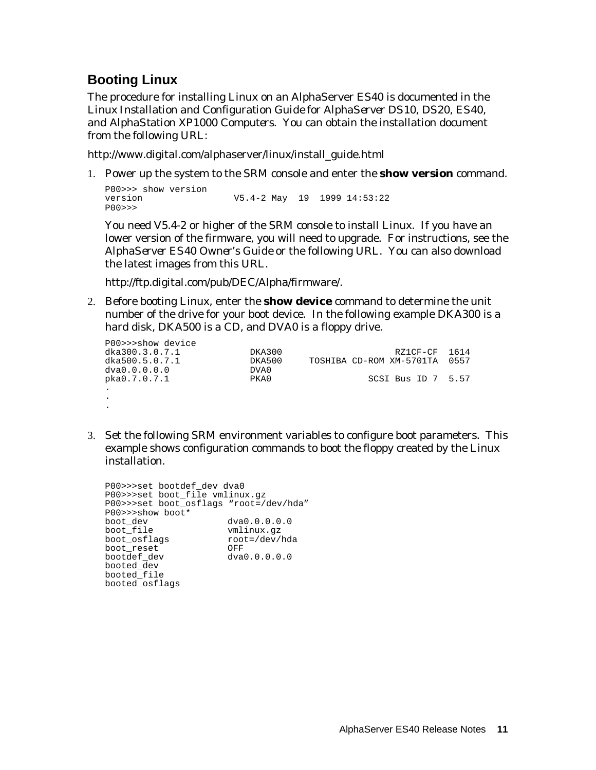### **Booting Linux**

The procedure for installing Linux on an AlphaServer ES40 is documented in the *Linux Installation and Configuration Guide for AlphaServer DS10, DS20, ES40, and AlphaStation XP1000 Computers.* You can obtain the installation document from the following URL:

http://www.digital.com/alphaserver/linux/install\_guide.html

1. Power up the system to the SRM console and enter the **show version** command.

```
P00>>> show version
                       V5.4-2 May 19 1999 14:53:22
P00>>>
```
You need V5.4-2 or higher of the SRM console to install Linux. If you have an lower version of the firmware, you will need to upgrade. For instructions, see the *AlphaServer ES40 Owner's Guide* or the following URL. You can also download the latest images from this URL.

http://ftp.digital.com/pub/DEC/Alpha/firmware/.

2. Before booting Linux, enter the **show device** command to determine the unit number of the drive for your boot device. In the following example DKA300 is a hard disk, DKA500 is a CD, and DVA0 is a floppy drive.

```
P00>>>show device<br>dka300.3.0.7.1
dka300.3.0.7.1 DKA300 RZ1CF-CF 1614
dka500.5.0.7.1 DKA500 TOSHIBA CD-ROM XM-5701TA 0557
dva0.0.0.0.0<br>pka0.7.0.7.1
pka0.7.0.7.1 PKA0 SCSI Bus ID 7 5.57
.
.
.
```
3. Set the following SRM environment variables to configure boot parameters. This example shows configuration commands to boot the floppy created by the Linux installation.

P00>>>set bootdef\_dev dva0 P00>>>set boot\_file vmlinux.gz P00>>>set boot\_osflags "root=/dev/hda" P00>>>show boot\* boot\_dev dva0.0.0.0.0<br>boot\_file vmlinux.gz vmlinux.gz<br>root=/dev/hda<br>OFF boot\_osflags boot\_reset<br>bootdef\_dev  $dva0.0.0.0.0$ booted\_dev booted\_file booted\_osflags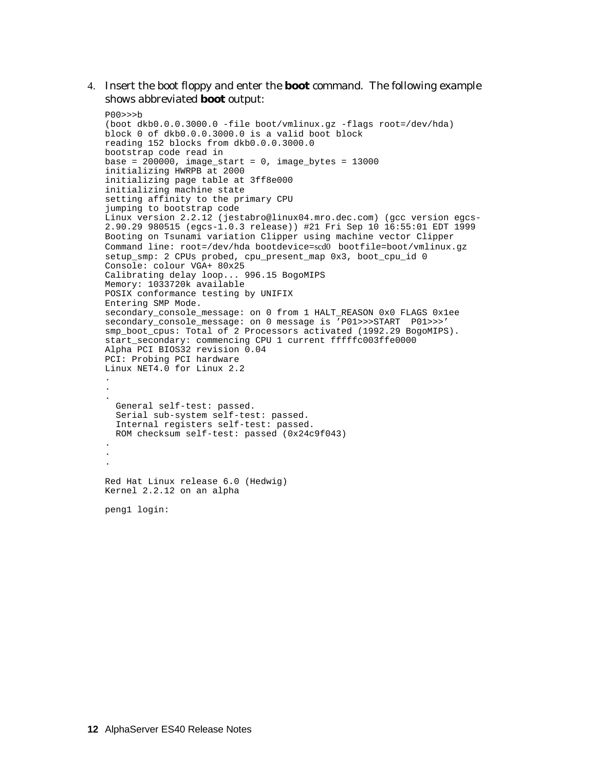#### 4. Insert the boot floppy and enter the **boot** command. The following example shows abbreviated **boot** output:

```
P00>>>b
(boot dkb0.0.0.3000.0 -file boot/vmlinux.gz -flags root=/dev/hda)
block 0 of dkb0.0.0.3000.0 is a valid boot block
reading 152 blocks from dkb0.0.0.3000.0
bootstrap code read in
base = 200000, image_start = 0, image_bytes = 13000initializing HWRPB at 2000
initializing page table at 3ff8e000
initializing machine state
setting affinity to the primary CPU
jumping to bootstrap code
Linux version 2.2.12 (jestabro@linux04.mro.dec.com) (gcc version egcs-
2.90.29 980515 (egcs-1.0.3 release)) #21 Fri Sep 10 16:55:01 EDT 1999
Booting on Tsunami variation Clipper using machine vector Clipper
Command line: root=/dev/hda bootdevice=scd0 bootfile=boot/vmlinux.gz
setup_smp: 2 CPUs probed, cpu_present_map 0x3, boot_cpu_id 0
Console: colour VGA+ 80x25
Calibrating delay loop... 996.15 BogoMIPS
Memory: 1033720k available
POSIX conformance testing by UNIFIX
Entering SMP Mode.
secondary_console_message: on 0 from 1 HALT_REASON 0x0 FLAGS 0x1ee
secondary_console_message: on 0 message is 'P01>>>START P01>>>'
smp_boot_cpus: Total of 2 Processors activated (1992.29 BogoMIPS).
start_secondary: commencing CPU 1 current fffffc003ffe0000
Alpha PCI BIOS32 revision 0.04
PCI: Probing PCI hardware
Linux NET4.0 for Linux 2.2
.
.
.
   General self-test: passed.
   Serial sub-system self-test: passed.
   Internal registers self-test: passed.
  ROM checksum self-test: passed (0x24c9f043)
.
.
.
Red Hat Linux release 6.0 (Hedwig)
Kernel 2.2.12 on an alpha
peng1 login:
```